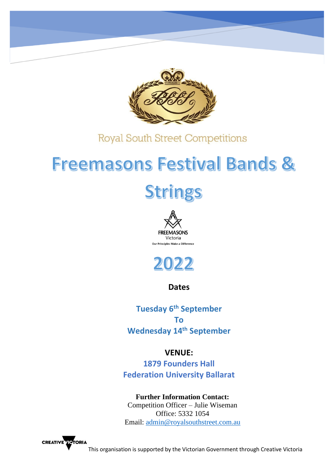

# **Freemasons Festival Bands &** Strings





**Dates**

**Tuesday 6th September To Wednesday 14 th September** 

# **VENUE:**

**1879 Founders Hall Federation University Ballarat**

# **Further Information Contact:**

Competition Officer – Julie Wiseman Office: 5332 1054 Email: [admin@royalsouthstreet.com.au](mailto:admin@royalsouthstreet.com.au)

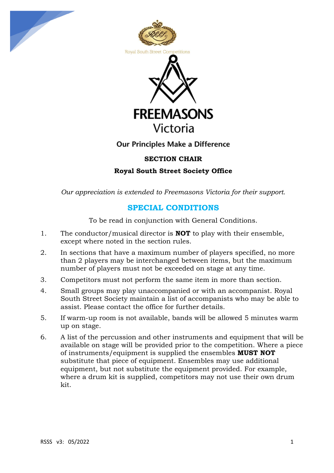





# Our Principles Make a Difference

# **SECTION CHAIR**

**Royal South Street Society Office**

*Our appreciation is extended to Freemasons Victoria for their support.* 

# **SPECIAL CONDITIONS**

To be read in conjunction with General Conditions.

- 1. The conductor/musical director is **NOT** to play with their ensemble, except where noted in the section rules.
- 2. In sections that have a maximum number of players specified, no more than 2 players may be interchanged between items, but the maximum number of players must not be exceeded on stage at any time.
- 3. Competitors must not perform the same item in more than section.
- 4. Small groups may play unaccompanied or with an accompanist. Royal South Street Society maintain a list of accompanists who may be able to assist. Please contact the office for further details.
- 5. If warm-up room is not available, bands will be allowed 5 minutes warm up on stage.
- 6. A list of the percussion and other instruments and equipment that will be available on stage will be provided prior to the competition. Where a piece of instruments/equipment is supplied the ensembles **MUST NOT** substitute that piece of equipment. Ensembles may use additional equipment, but not substitute the equipment provided. For example, where a drum kit is supplied, competitors may not use their own drum kit.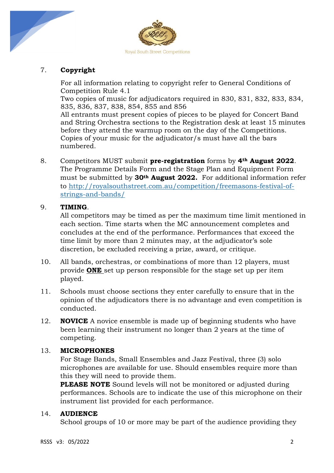

# 7. **Copyright**

For all information relating to copyright refer to General Conditions of Competition Rule 4.1

Two copies of music for adjudicators required in 830, 831, 832, 833, 834, 835, 836, 837, 838, 854, 855 and 856

All entrants must present copies of pieces to be played for Concert Band and String Orchestra sections to the Registration desk at least 15 minutes before they attend the warmup room on the day of the Competitions. Copies of your music for the adjudicator/s must have all the bars numbered.

8. Competitors MUST submit **pre-registration** forms by **4th August 2022**. The Programme Details Form and the Stage Plan and Equipment Form must be submitted by **30th August 2022.** For additional information refer to [http://royalsouthstreet.com.au/competition/freemasons-festival-of](http://royalsouthstreet.com.au/competition/freemasons-festival-of-strings-and-bands/)[strings-and-bands/](http://royalsouthstreet.com.au/competition/freemasons-festival-of-strings-and-bands/)

# 9. **TIMING**.

All competitors may be timed as per the maximum time limit mentioned in each section. Time starts when the MC announcement completes and concludes at the end of the performance. Performances that exceed the time limit by more than 2 minutes may, at the adjudicator's sole discretion, be excluded receiving a prize, award, or critique.

- 10. All bands, orchestras, or combinations of more than 12 players, must provide **ONE** set up person responsible for the stage set up per item played.
- 11. Schools must choose sections they enter carefully to ensure that in the opinion of the adjudicators there is no advantage and even competition is conducted.
- 12. **NOVICE** A novice ensemble is made up of beginning students who have been learning their instrument no longer than 2 years at the time of competing.

# 13. **MICROPHONES**

For Stage Bands, Small Ensembles and Jazz Festival, three (3) solo microphones are available for use. Should ensembles require more than this they will need to provide them.

**PLEASE NOTE** Sound levels will not be monitored or adjusted during performances. Schools are to indicate the use of this microphone on their instrument list provided for each performance.

# 14. **AUDIENCE**

School groups of 10 or more may be part of the audience providing they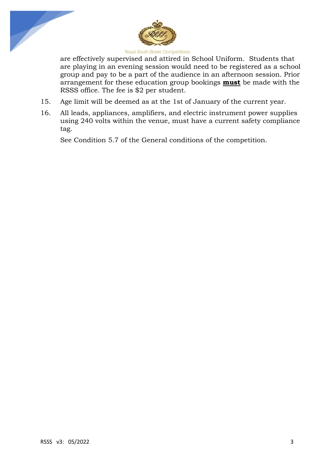



are effectively supervised and attired in School Uniform. Students that are playing in an evening session would need to be registered as a school group and pay to be a part of the audience in an afternoon session. Prior arrangement for these education group bookings **must** be made with the RSSS office. The fee is \$2 per student.

- 15. Age limit will be deemed as at the 1st of January of the current year.
- 16. All leads, appliances, amplifiers, and electric instrument power supplies using 240 volts within the venue, must have a current safety compliance tag.

See Condition 5.7 of the General conditions of the competition.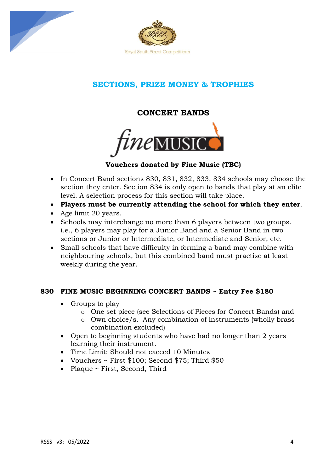



# **SECTIONS, PRIZE MONEY & TROPHIES**

**CONCERT BANDS**



# **Vouchers donated by Fine Music (TBC)**

- In Concert Band sections 830, 831, 832, 833, 834 schools may choose the section they enter. Section 834 is only open to bands that play at an elite level. A selection process for this section will take place.
- **Players must be currently attending the school for which they enter**.
- Age limit 20 years.
- Schools may interchange no more than 6 players between two groups. i.e., 6 players may play for a Junior Band and a Senior Band in two sections or Junior or Intermediate, or Intermediate and Senior, etc.
- Small schools that have difficulty in forming a band may combine with neighbouring schools, but this combined band must practise at least weekly during the year.

## **830 FINE MUSIC BEGINNING CONCERT BANDS ~ Entry Fee \$180**

- Groups to play
	- o One set piece (see Selections of Pieces for Concert Bands) and
	- o Own choice/s. Any combination of instruments (wholly brass combination excluded)
- Open to beginning students who have had no longer than 2 years learning their instrument.
- Time Limit: Should not exceed 10 Minutes
- Vouchers ~ First \$100; Second \$75; Third \$50
- Plaque ~ First, Second, Third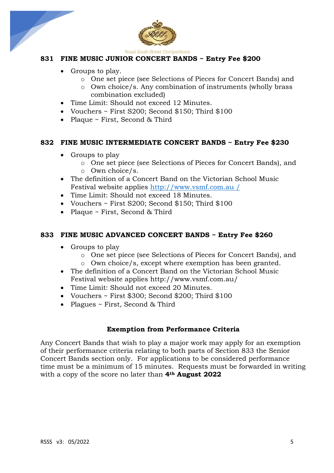



# **831 FINE MUSIC JUNIOR CONCERT BANDS ~ Entry Fee \$200**

- Groups to play.
	- o One set piece (see Selections of Pieces for Concert Bands) and
	- o Own choice/s. Any combination of instruments (wholly brass combination excluded)
- Time Limit: Should not exceed 12 Minutes.
- Vouchers ~ First S200; Second \$150; Third \$100
- Plaque ~ First, Second & Third

## **832 FINE MUSIC INTERMEDIATE CONCERT BANDS ~ Entry Fee \$230**

- Groups to play
	- o One set piece (see Selections of Pieces for Concert Bands), and o Own choice/s.
- The definition of a Concert Band on the Victorian School Music Festival website applies http://www.vsmf.com.au /
- Time Limit: Should not exceed 18 Minutes.
- Vouchers ~ First S200; Second \$150; Third \$100
- Plaque ~ First, Second & Third

## **833 FINE MUSIC ADVANCED CONCERT BANDS ~ Entry Fee \$260**

- Groups to play
	- o One set piece (see Selections of Pieces for Concert Bands), and
	- o Own choice/s, except where exemption has been granted.
- The definition of a Concert Band on the Victorian School Music Festival website applies<http://www.vsmf.com.au/>
- Time Limit: Should not exceed 20 Minutes.
- Vouchers ~ First \$300; Second \$200; Third \$100
- Plagues ~ First, Second & Third

## **Exemption from Performance Criteria**

Any Concert Bands that wish to play a major work may apply for an exemption of their performance criteria relating to both parts of Section 833 the Senior Concert Bands section only. For applications to be considered performance time must be a minimum of 15 minutes. Requests must be forwarded in writing with a copy of the score no later than **4th August 2022**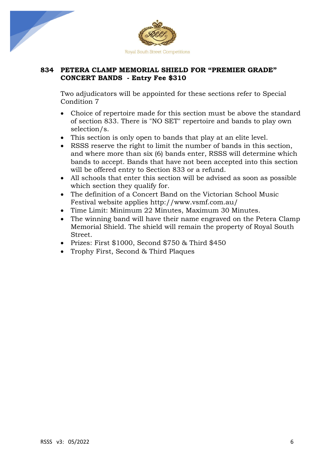



# **834 PETERA CLAMP MEMORIAL SHIELD FOR "PREMIER GRADE" CONCERT BANDS - Entry Fee \$310**

Two adjudicators will be appointed for these sections refer to Special Condition 7

- Choice of repertoire made for this section must be above the standard of section 833. There is "NO SET" repertoire and bands to play own selection/s.
- This section is only open to bands that play at an elite level.
- RSSS reserve the right to limit the number of bands in this section, and where more than six (6) bands enter, RSSS will determine which bands to accept. Bands that have not been accepted into this section will be offered entry to Section 833 or a refund.
- All schools that enter this section will be advised as soon as possible which section they qualify for.
- The definition of a Concert Band on the Victorian School Music Festival website applies<http://www.vsmf.com.au/>
- Time Limit: Minimum 22 Minutes, Maximum 30 Minutes.
- The winning band will have their name engraved on the Petera Clamp Memorial Shield. The shield will remain the property of Royal South Street.
- Prizes: First \$1000, Second \$750 & Third \$450
- Trophy First, Second & Third Plaques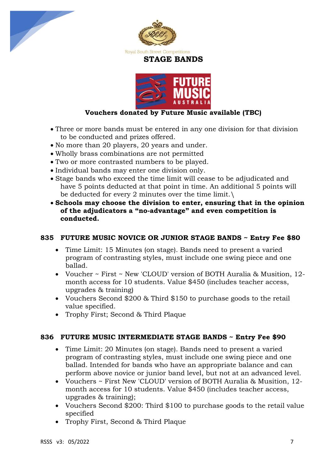





# **Vouchers donated by Future Music available (TBC)**

- Three or more bands must be entered in any one division for that division to be conducted and prizes offered.
- No more than 20 players, 20 years and under.
- Wholly brass combinations are not permitted
- Two or more contrasted numbers to be played.
- Individual bands may enter one division only.
- Stage bands who exceed the time limit will cease to be adjudicated and have 5 points deducted at that point in time. An additional 5 points will be deducted for every 2 minutes over the time limit.\
- **Schools may choose the division to enter, ensuring that in the opinion of the adjudicators a "no-advantage" and even competition is conducted.**

## **835 FUTURE MUSIC NOVICE OR JUNIOR STAGE BANDS ~ Entry Fee \$80**

- Time Limit: 15 Minutes (on stage). Bands need to present a varied program of contrasting styles, must include one swing piece and one ballad.
- Voucher ~ First ~ New 'CLOUD' version of BOTH Auralia & Musition, 12 month access for 10 students. Value \$450 (includes teacher access, upgrades & training)
- Vouchers Second \$200 & Third \$150 to purchase goods to the retail value specified.
- Trophy First; Second & Third Plaque

## **836 FUTURE MUSIC INTERMEDIATE STAGE BANDS ~ Entry Fee \$90**

- Time Limit: 20 Minutes (on stage). Bands need to present a varied program of contrasting styles, must include one swing piece and one ballad. Intended for bands who have an appropriate balance and can perform above novice or junior band level, but not at an advanced level.
- Vouchers ~ First New 'CLOUD' version of BOTH Auralia & Musition, 12 month access for 10 students. Value \$450 (includes teacher access, upgrades & training);
- Vouchers Second \$200: Third \$100 to purchase goods to the retail value specified
- Trophy First, Second & Third Plaque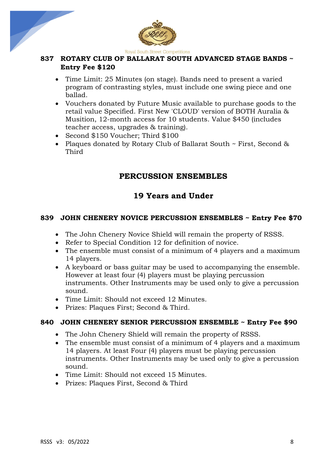



# **837 ROTARY CLUB OF BALLARAT SOUTH ADVANCED STAGE BANDS ~ Entry Fee \$120**

- Time Limit: 25 Minutes (on stage). Bands need to present a varied program of contrasting styles, must include one swing piece and one ballad.
- Vouchers donated by Future Music available to purchase goods to the retail value Specified. First New 'CLOUD' version of BOTH Auralia & Musition, 12-month access for 10 students. Value \$450 (includes teacher access, upgrades & training).
- Second \$150 Voucher; Third \$100
- Plaques donated by Rotary Club of Ballarat South ~ First, Second & Third

# **PERCUSSION ENSEMBLES**

# **19 Years and Under**

# **839 JOHN CHENERY NOVICE PERCUSSION ENSEMBLES ~ Entry Fee \$70**

- The John Chenery Novice Shield will remain the property of RSSS.
- Refer to Special Condition 12 for definition of novice.
- The ensemble must consist of a minimum of 4 players and a maximum 14 players.
- A keyboard or bass guitar may be used to accompanying the ensemble. However at least four (4) players must be playing percussion instruments. Other Instruments may be used only to give a percussion sound.
- Time Limit: Should not exceed 12 Minutes.
- Prizes: Plaques First; Second & Third.

# **840 JOHN CHENERY SENIOR PERCUSSION ENSEMBLE ~ Entry Fee \$90**

- The John Chenery Shield will remain the property of RSSS.
- The ensemble must consist of a minimum of 4 players and a maximum 14 players. At least Four (4) players must be playing percussion instruments. Other Instruments may be used only to give a percussion sound.
- Time Limit: Should not exceed 15 Minutes.
- Prizes: Plaques First, Second & Third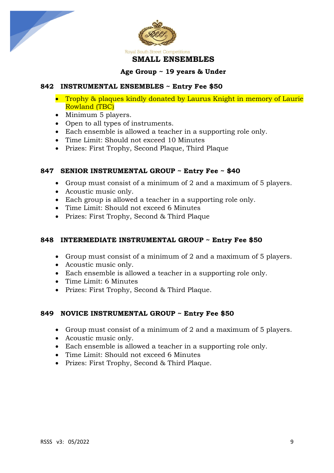



#### **Age Group ~ 19 years & Under**

#### **842 INSTRUMENTAL ENSEMBLES ~ Entry Fee \$50**

- Trophy & plaques kindly donated by Laurus Knight in memory of Laurie Rowland (TBC)
- Minimum 5 players.
- Open to all types of instruments.
- Each ensemble is allowed a teacher in a supporting role only.
- Time Limit: Should not exceed 10 Minutes
- Prizes: First Trophy, Second Plaque, Third Plaque

# **847 SENIOR INSTRUMENTAL GROUP ~ Entry Fee ~ \$40**

- Group must consist of a minimum of 2 and a maximum of 5 players.
- Acoustic music only.
- Each group is allowed a teacher in a supporting role only.
- Time Limit: Should not exceed 6 Minutes
- Prizes: First Trophy, Second & Third Plaque

# **848 INTERMEDIATE INSTRUMENTAL GROUP ~ Entry Fee \$50**

- Group must consist of a minimum of 2 and a maximum of 5 players.
- Acoustic music only.
- Each ensemble is allowed a teacher in a supporting role only.
- Time Limit: 6 Minutes
- Prizes: First Trophy, Second & Third Plaque.

## **849 NOVICE INSTRUMENTAL GROUP ~ Entry Fee \$50**

- Group must consist of a minimum of 2 and a maximum of 5 players.
- Acoustic music only.
- Each ensemble is allowed a teacher in a supporting role only.
- Time Limit: Should not exceed 6 Minutes
- Prizes: First Trophy, Second & Third Plaque.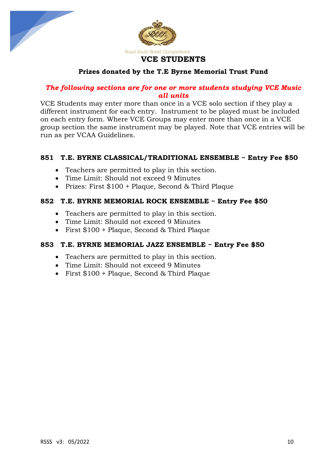



# **Prizes donated by the T.E Byrne Memorial Trust Fund**

# *The following sections are for one or more students studying VCE Music all units*

VCE Students may enter more than once in a VCE solo section if they play a different instrument for each entry. Instrument to be played must be included on each entry form. Where VCE Groups may enter more than once in a VCE group section the same instrument may be played. Note that VCE entries will be run as per VCAA Guidelines.

# **851 T.E. BYRNE CLASSICAL/TRADITIONAL ENSEMBLE ~ Entry Fee \$50**

- Teachers are permitted to play in this section.
- Time Limit: Should not exceed 9 Minutes
- Prizes: First \$100 + Plaque, Second & Third Plaque

#### **852 T.E. BYRNE MEMORIAL ROCK ENSEMBLE ~ Entry Fee \$50**

- Teachers are permitted to play in this section.
- Time Limit: Should not exceed 9 Minutes
- First \$100 + Plaque, Second & Third Plaque

#### **853 T.E. BYRNE MEMORIAL JAZZ ENSEMBLE ~ Entry Fee \$50**

- Teachers are permitted to play in this section.
- Time Limit: Should not exceed 9 Minutes
- First \$100 + Plaque, Second & Third Plaque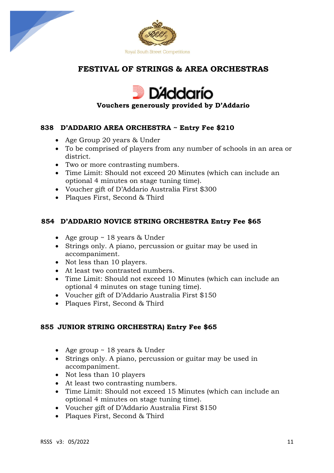



# **FESTIVAL OF STRINGS & AREA ORCHESTRAS**



# **Vouchers generously provided by D'Addario**

## **838 D'ADDARIO AREA ORCHESTRA ~ Entry Fee \$210**

- Age Group 20 years & Under
- To be comprised of players from any number of schools in an area or district.
- Two or more contrasting numbers.
- Time Limit: Should not exceed 20 Minutes (which can include an optional 4 minutes on stage tuning time).
- Voucher gift of D'Addario Australia First \$300
- Plaques First, Second & Third

## **854 D'ADDARIO NOVICE STRING ORCHESTRA Entry Fee \$65**

- Age group ~ 18 years & Under
- Strings only. A piano, percussion or guitar may be used in accompaniment.
- Not less than 10 players.
- At least two contrasted numbers.
- Time Limit: Should not exceed 10 Minutes (which can include an optional 4 minutes on stage tuning time).
- Voucher gift of D'Addario Australia First \$150
- Plaques First, Second & Third

## **855 JUNIOR STRING ORCHESTRA) Entry Fee \$65**

- Age group ~ 18 years & Under
- Strings only. A piano, percussion or guitar may be used in accompaniment.
- Not less than 10 players
- At least two contrasting numbers.
- Time Limit: Should not exceed 15 Minutes (which can include an optional 4 minutes on stage tuning time).
- Voucher gift of D'Addario Australia First \$150
- Plaques First, Second & Third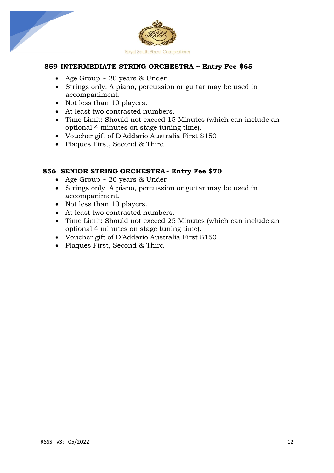

## **859 INTERMEDIATE STRING ORCHESTRA ~ Entry Fee \$65**

- Age Group ~ 20 years & Under
- Strings only. A piano, percussion or guitar may be used in accompaniment.
- Not less than 10 players.
- At least two contrasted numbers.
- Time Limit: Should not exceed 15 Minutes (which can include an optional 4 minutes on stage tuning time).
- Voucher gift of D'Addario Australia First \$150
- Plaques First, Second & Third

#### **856 SENIOR STRING ORCHESTRA~ Entry Fee \$70**

- Age Group ~ 20 years & Under
- Strings only. A piano, percussion or guitar may be used in accompaniment.
- Not less than 10 players.
- At least two contrasted numbers.
- Time Limit: Should not exceed 25 Minutes (which can include an optional 4 minutes on stage tuning time).
- Voucher gift of D'Addario Australia First \$150
- Plaques First, Second & Third